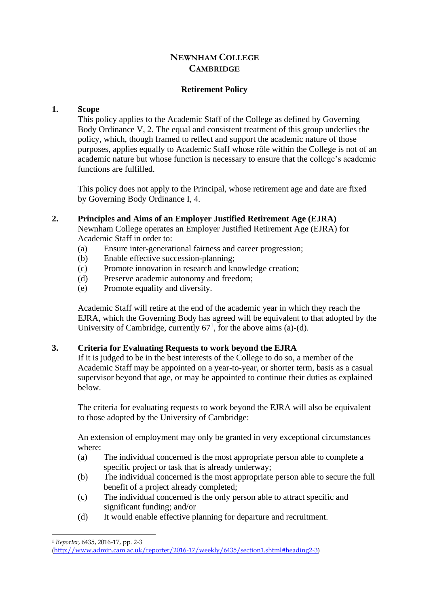# **NEWNHAM COLLEGE CAMBRIDGE**

# **Retirement Policy**

## **1. Scope**

This policy applies to the Academic Staff of the College as defined by Governing Body Ordinance V, 2. The equal and consistent treatment of this group underlies the policy, which, though framed to reflect and support the academic nature of those purposes, applies equally to Academic Staff whose rôle within the College is not of an academic nature but whose function is necessary to ensure that the college's academic functions are fulfilled.

This policy does not apply to the Principal, whose retirement age and date are fixed by Governing Body Ordinance I, 4.

### **2. Principles and Aims of an Employer Justified Retirement Age (EJRA)**

Newnham College operates an Employer Justified Retirement Age (EJRA) for Academic Staff in order to:

- (a) Ensure inter-generational fairness and career progression;
- (b) Enable effective succession-planning;
- (c) Promote innovation in research and knowledge creation;
- (d) Preserve academic autonomy and freedom;
- (e) Promote equality and diversity.

Academic Staff will retire at the end of the academic year in which they reach the EJRA, which the Governing Body has agreed will be equivalent to that adopted by the University of Cambridge, currently  $67<sup>1</sup>$ , for the above aims (a)-(d).

# <span id="page-0-0"></span>**3. Criteria for Evaluating Requests to work beyond the EJRA**

If it is judged to be in the best interests of the College to do so, a member of the Academic Staff may be appointed on a year-to-year, or shorter term, basis as a casual supervisor beyond that age, or may be appointed to continue their duties as explained below.

The criteria for evaluating requests to work beyond the EJRA will also be equivalent to those adopted by the University of Cambridge:

An extension of employment may only be granted in very exceptional circumstances where:

- (a) The individual concerned is the most appropriate person able to complete a specific project or task that is already underway;
- (b) The individual concerned is the most appropriate person able to secure the full benefit of a project already completed;
- (c) The individual concerned is the only person able to attract specific and significant funding; and/or
- (d) It would enable effective planning for departure and recruitment.

<sup>1</sup> *Reporter*, 6435, 2016-17, pp. 2-3

[<sup>\(</sup>http://www.admin.cam.ac.uk/reporter/2016-17/weekly/6435/section1.shtml#heading2-3\)](http://www.admin.cam.ac.uk/reporter/2016-17/weekly/6435/section1.shtml#heading2-3)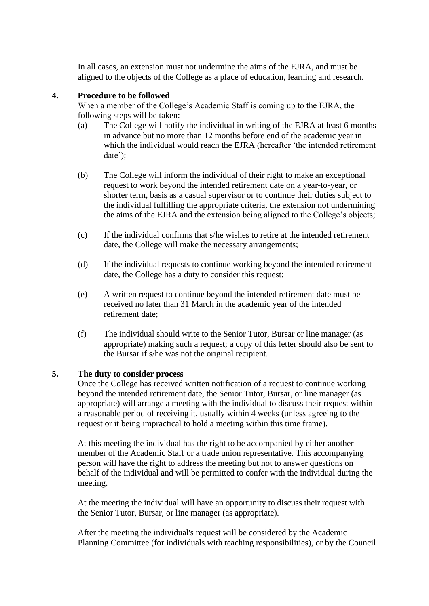In all cases, an extension must not undermine the aims of the EJRA, and must be aligned to the objects of the College as a place of education, learning and research.

## **4. Procedure to be followed**

When a member of the College's Academic Staff is coming up to the EJRA, the following steps will be taken:

- (a) The College will notify the individual in writing of the EJRA at least 6 months in advance but no more than 12 months before end of the academic year in which the individual would reach the EJRA (hereafter 'the intended retirement date');
- (b) The College will inform the individual of their right to make an exceptional request to work beyond the intended retirement date on a year-to-year, or shorter term, basis as a casual supervisor or to continue their duties subject to the individual fulfilling the appropriate criteria, the extension not undermining the aims of the EJRA and the extension being aligned to the College's objects;
- (c) If the individual confirms that s/he wishes to retire at the intended retirement date, the College will make the necessary arrangements;
- (d) If the individual requests to continue working beyond the intended retirement date, the College has a duty to consider this request;
- (e) A written request to continue beyond the intended retirement date must be received no later than 31 March in the academic year of the intended retirement date;
- (f) The individual should write to the Senior Tutor, Bursar or line manager (as appropriate) making such a request; a copy of this letter should also be sent to the Bursar if s/he was not the original recipient.

### <span id="page-1-0"></span>**5. The duty to consider process**

Once the College has received written notification of a request to continue working beyond the intended retirement date, the Senior Tutor, Bursar, or line manager (as appropriate) will arrange a meeting with the individual to discuss their request within a reasonable period of receiving it, usually within 4 weeks (unless agreeing to the request or it being impractical to hold a meeting within this time frame).

At this meeting the individual has the right to be accompanied by either another member of the Academic Staff or a trade union representative. This accompanying person will have the right to address the meeting but not to answer questions on behalf of the individual and will be permitted to confer with the individual during the meeting.

At the meeting the individual will have an opportunity to discuss their request with the Senior Tutor, Bursar, or line manager (as appropriate).

After the meeting the individual's request will be considered by the Academic Planning Committee (for individuals with teaching responsibilities), or by the Council